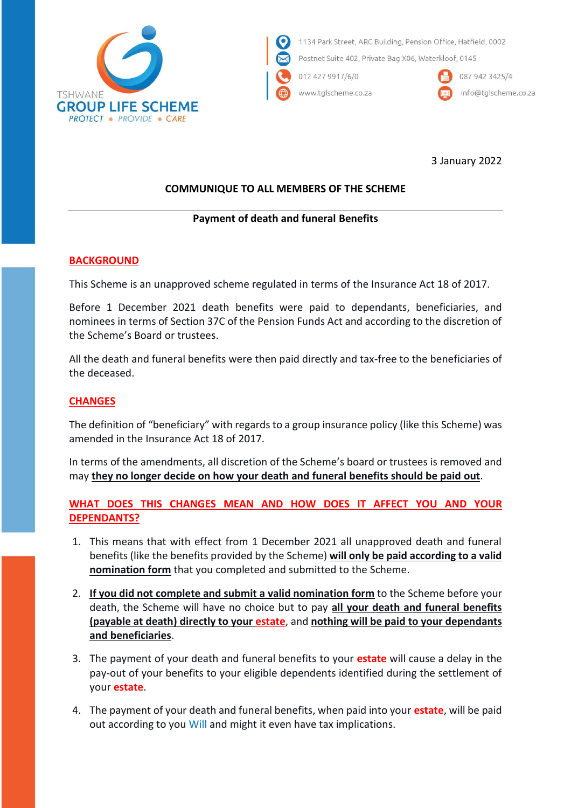

1134 Park Street, ARC Building, Pension Office, Hatfield, 0002

Postnet Suite 402, Private Bag X06, Waterkloof, 0145

012 427 9917/6/0

www.tglscheme.co.za



087 942 3425/4 info@tglscheme.co.za

3 January 2022

# **COMMUNIQUE TO ALL MEMBERS OF THE SCHEME**

### **Payment of death and funeral Benefits**

### **BACKGROUND**

This Scheme is an unapproved scheme regulated in terms of the Insurance Act 18 of 2017.

Before 1 December 2021 death benefits were paid to dependants, beneficiaries, and nominees in terms of Section 37C of the Pension Funds Act and according to the discretion of the Scheme's Board or trustees.

All the death and funeral benefits were then paid directly and tax-free to the beneficiaries of the deceased.

### **CHANGES**

The definition of "beneficiary" with regards to a group insurance policy (like this Scheme) was amended in the Insurance Act 18 of 2017.

In terms of the amendments, all discretion of the Scheme's board or trustees is removed and may **they no longer decide on how your death and funeral benefits should be paid out**.

## **WHAT DOES THIS CHANGES MEAN AND HOW DOES IT AFFECT YOU AND YOUR DEPENDANTS?**

- 1. This means that with effect from 1 December 2021 all unapproved death and funeral benefits (like the benefits provided by the Scheme) **will only be paid according to a valid nomination form** that you completed and submitted to the Scheme.
- 2. **If you did not complete and submit a valid nomination form** to the Scheme before your death, the Scheme will have no choice but to pay **all your death and funeral benefits (payable at death) directly to your estate**, and **nothing will be paid to your dependants and beneficiaries**.
- 3. The payment of your death and funeral benefits to your **estate** will cause a delay in the pay-out of your benefits to your eligible dependents identified during the settlement of your **estate**.
- 4. The payment of your death and funeral benefits, when paid into your **estate**, will be paid out according to you Will and might it even have tax implications.